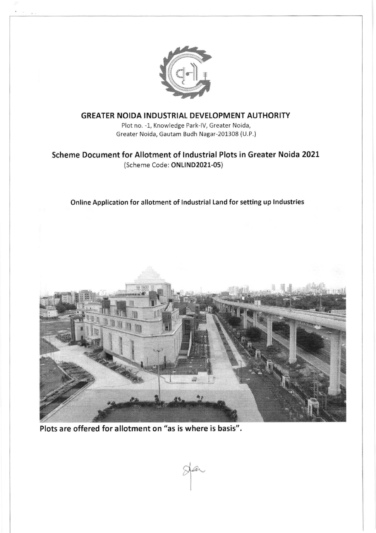

## GREATER NOIDA INDUSTRIAL DEVELOPMENT AUTHORITY

Plot no. -1, Knowledge Park-lV, Greater Noida, Greater Noida, Gautam Budh Nagar-201308 (U.P.)

# Scheme Document for Allotment of lndustrial Plots in Greater Noida 2021 (Scheme Code: ONLlND2021-05)

### Online Application for allotment of lndustrial Land for setting up lndustries



M

Plots are offered for allotment on "as is where is basis".